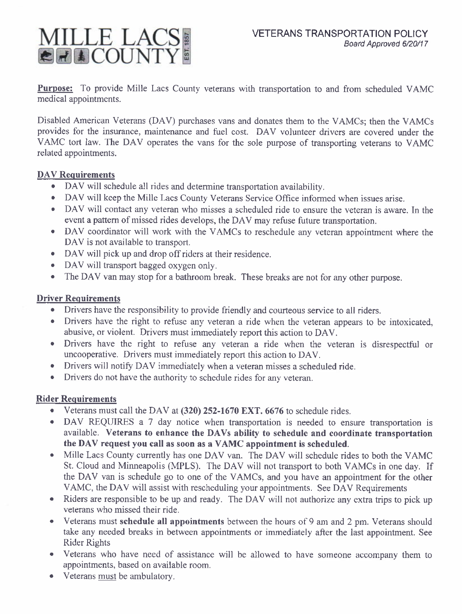

Purpose: To provide Mille Lacs County veterans with transportation to and from scheduled VAMC medical appointments.

Disabled American Veterans (DAV) purchases vans and donates them to the VAMCs; then the VAMCs provides for the insurance, maintenance and fuel cost. DAV volunteer drivers are covered under the VAMC tort law. The DAV operates the vans for the sole purpose of transporting veterans to VAMC related appointments.

#### DAV Requirements

- DAV will schedule all rides and determine transportation availability.
- o DAV will keep the Mille Lacs County Veterans Service Office informed when issues arise.
- . DAV will contact any veteran who misses a scheduled ride to ensure the veteran is aware. In the event a pattem of missed rides develops, the DAV may refuse future transportation.
- . DAV coordinator will work with the VAMCs to reschedule any veteran appointment where the DAV is not available to transport.
- DAV will pick up and drop off riders at their residence.
- DAV will transport bagged oxygen only.
- The DAV van may stop for a bathroom break. These breaks are not for any other purpose.

### Driver Requirements

- o Drivers have the responsibility to provide friendly and courteous service to all riders.
- o Drivers have the right to refuse any veteran a ride when the veteran appears to be intoxicated, abusive, or violent. Drivers must immediately report this action to DAV.
- o Drivers have the right to refuse any veteran a ride when the veteran is disrespectful or uncooperative. Drivers must immediately report this action to DAV.
- Drivers will notify DAV immediately when a veteran misses a scheduled ride.
- Drivers do not have the authority to schedule rides for any veteran.

# Rider Requirements

- Veterans must call the DAV at  $(320)$  252-1670 EXT. 6676 to schedule rides.
- o DAV REQUIRES a 7 day notice when transportation is needed to ensure transportation is available. Veterans to enhance the DAVs ability to schedule and coordinate transportation the DAV request you call as soon as a VAMC appointment is scheduled.
- Mille Lacs County currently has one DAV van. The DAV will schedule rides to both the VAMC St. Cloud and Minneapolis (MPLS). The DAV will not transport to both VAMCs in one day. If the DAV van is schedule go to one of the VAMCs, and you have an appointment for the other VAMC, the DAV will assist with rescheduling your appointments. See DAV Requirements
- o Riders are responsible to be up and ready. The DAV will not authorize any extra trips to pick up veterans who missed their ride.
- Veterans must schedule all appointments between the hours of 9 am and 2 pm. Veterans should take any needed breaks in between appointments or immediately after the last appointment. See Rider Rights
- Veterans who have need of assistance will be allowed to have someone accompany them to appointments, based on available room.
- Veterans must be ambulatory.